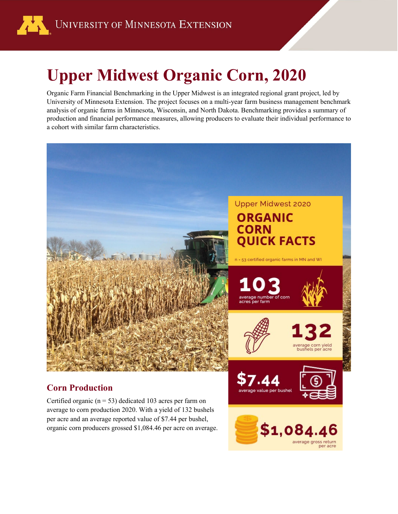

# **Upper Midwest Organic Corn, 2020**

Organic Farm Financial Benchmarking in the Upper Midwest is an integrated regional grant project, led by University of Minnesota Extension. The project focuses on a multi-year farm business management benchmark analysis of organic farms in Minnesota, Wisconsin, and North Dakota. Benchmarking provides a summary of production and financial performance measures, allowing producers to evaluate their individual performance to a cohort with similar farm characteristics.



#### **Corn Production**

Certified organic ( $n = 53$ ) dedicated 103 acres per farm on average to corn production 2020. With a yield of 132 bushels per acre and an average reported value of \$7.44 per bushel, organic corn producers grossed \$1,084.46 per acre on average.